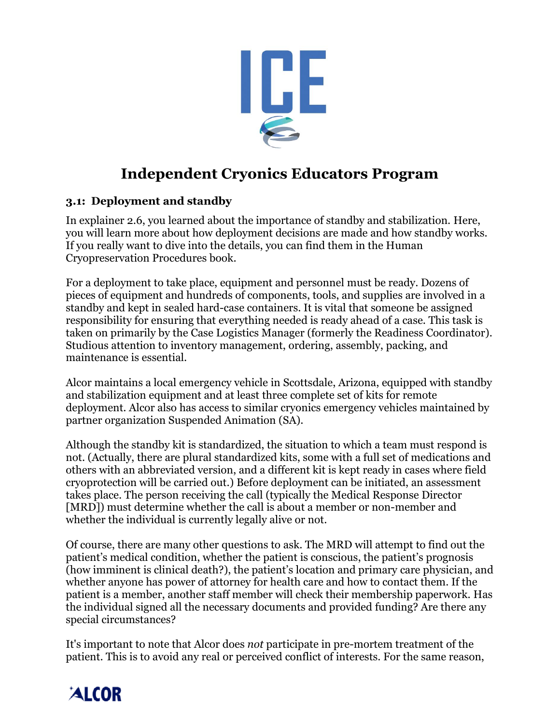

# **Independent Cryonics Educators Program**

### **3.1: Deployment and standby**

In explainer 2.6, you learned about the importance of standby and stabilization. Here, you will learn more about how deployment decisions are made and how standby works. If you really want to dive into the details, you can find them in the Human Cryopreservation Procedures book.

For a deployment to take place, equipment and personnel must be ready. Dozens of pieces of equipment and hundreds of components, tools, and supplies are involved in a standby and kept in sealed hard-case containers. It is vital that someone be assigned responsibility for ensuring that everything needed is ready ahead of a case. This task is taken on primarily by the Case Logistics Manager (formerly the Readiness Coordinator). Studious attention to inventory management, ordering, assembly, packing, and maintenance is essential.

Alcor maintains a local emergency vehicle in Scottsdale, Arizona, equipped with standby and stabilization equipment and at least three complete set of kits for remote deployment. Alcor also has access to similar cryonics emergency vehicles maintained by partner organization Suspended Animation (SA).

Although the standby kit is standardized, the situation to which a team must respond is not. (Actually, there are plural standardized kits, some with a full set of medications and others with an abbreviated version, and a different kit is kept ready in cases where field cryoprotection will be carried out.) Before deployment can be initiated, an assessment takes place. The person receiving the call (typically the Medical Response Director [MRD]) must determine whether the call is about a member or non-member and whether the individual is currently legally alive or not.

Of course, there are many other questions to ask. The MRD will attempt to find out the patient's medical condition, whether the patient is conscious, the patient's prognosis (how imminent is clinical death?), the patient's location and primary care physician, and whether anyone has power of attorney for health care and how to contact them. If the patient is a member, another staff member will check their membership paperwork. Has the individual signed all the necessary documents and provided funding? Are there any special circumstances?

It's important to note that Alcor does *not* participate in pre-mortem treatment of the patient. This is to avoid any real or perceived conflict of interests. For the same reason,

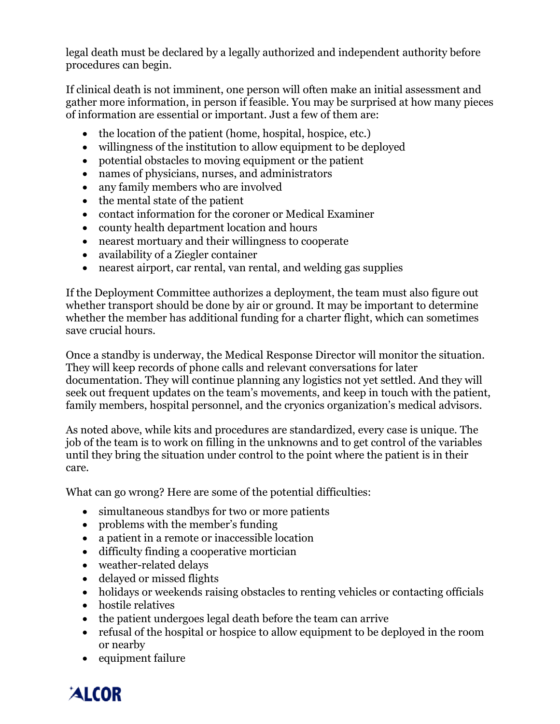legal death must be declared by a legally authorized and independent authority before procedures can begin.

If clinical death is not imminent, one person will often make an initial assessment and gather more information, in person if feasible. You may be surprised at how many pieces of information are essential or important. Just a few of them are:

- the location of the patient (home, hospital, hospice, etc.)
- willingness of the institution to allow equipment to be deployed
- potential obstacles to moving equipment or the patient
- names of physicians, nurses, and administrators
- any family members who are involved
- the mental state of the patient
- contact information for the coroner or Medical Examiner
- county health department location and hours
- nearest mortuary and their willingness to cooperate
- availability of a Ziegler container
- nearest airport, car rental, van rental, and welding gas supplies

If the Deployment Committee authorizes a deployment, the team must also figure out whether transport should be done by air or ground. It may be important to determine whether the member has additional funding for a charter flight, which can sometimes save crucial hours.

Once a standby is underway, the Medical Response Director will monitor the situation. They will keep records of phone calls and relevant conversations for later documentation. They will continue planning any logistics not yet settled. And they will seek out frequent updates on the team's movements, and keep in touch with the patient, family members, hospital personnel, and the cryonics organization's medical advisors.

As noted above, while kits and procedures are standardized, every case is unique. The job of the team is to work on filling in the unknowns and to get control of the variables until they bring the situation under control to the point where the patient is in their care.

What can go wrong? Here are some of the potential difficulties:

- simultaneous standbys for two or more patients
- problems with the member's funding
- a patient in a remote or inaccessible location
- difficulty finding a cooperative mortician
- weather-related delays
- delayed or missed flights
- holidays or weekends raising obstacles to renting vehicles or contacting officials
- hostile relatives
- the patient undergoes legal death before the team can arrive
- refusal of the hospital or hospice to allow equipment to be deployed in the room or nearby
- equipment failure